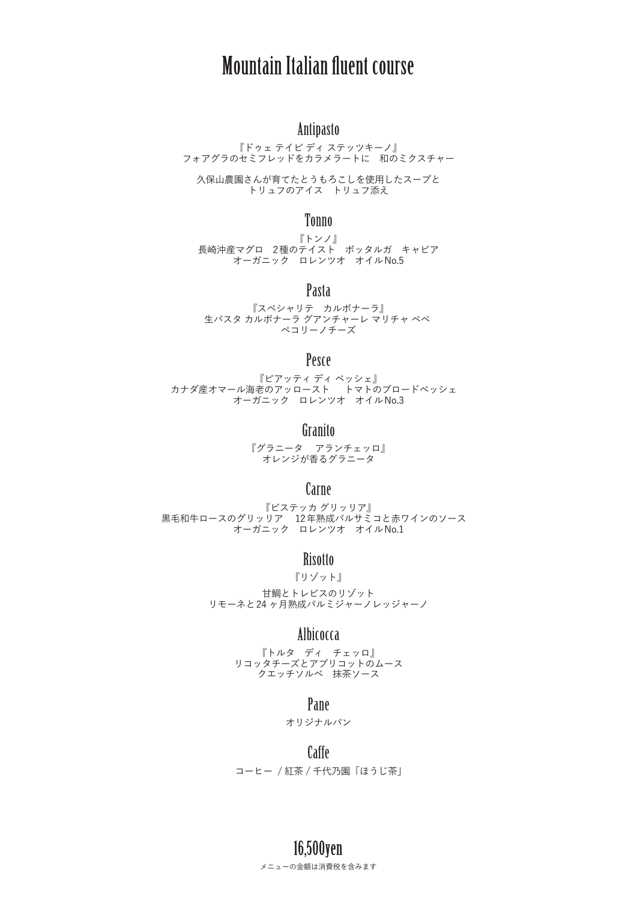# Mountain Italian fluent course

# Antipasto

『ドゥェ テイピ ディ ステッツキーノ』 フォアグラのセミフレッドをカラメラートに 和のミクスチャー

久保山農園さんが育てたとうもろこしを使用したスープと トリュフのアイス トリュフ添え

### Tonno

『トンノ』 長崎沖産マグロ 2種のテイスト ボッタルガ キャビア オーガニック ロレンツオ オイルNo.5

### Pasta

『スペシャリテ カルボナーラ』 生パスタ カルボナーラ グアンチャーレ マリチャ ペペ ペコリーノチーズ

### Pesce

『ピアッティ ディ ペッシェ』 カナダ産オマール海老のアッロースト トマトのブロードペッシェ オーガニック ロレンツオ オイルNo.3

#### Granito

『グラニータ アランチェッロ』 オレンジが香るグラニータ

## Carne

『ビステッカ グリッリア』 黒毛和牛ロースのグリッリア 12年熟成バルサミコと赤ワインのソース オーガニック ロレンツオ オイルNo.1

### **Risotto**

『リゾット』 甘鯛とトレビスのリゾット リモーネと24 ヶ月熟成パルミジャーノレッジャーノ

# Albicocca

『トルタ ディ チェッロ』 リコッタチーズとアプリコットのムース クエッチソルベ 抹茶ソース

### Pane

オリジナルパン

### Caffe

コーヒー / 紅茶 / 千代乃園「ほうじ茶」

メニューの金額は消費税を含みます 16,500yen